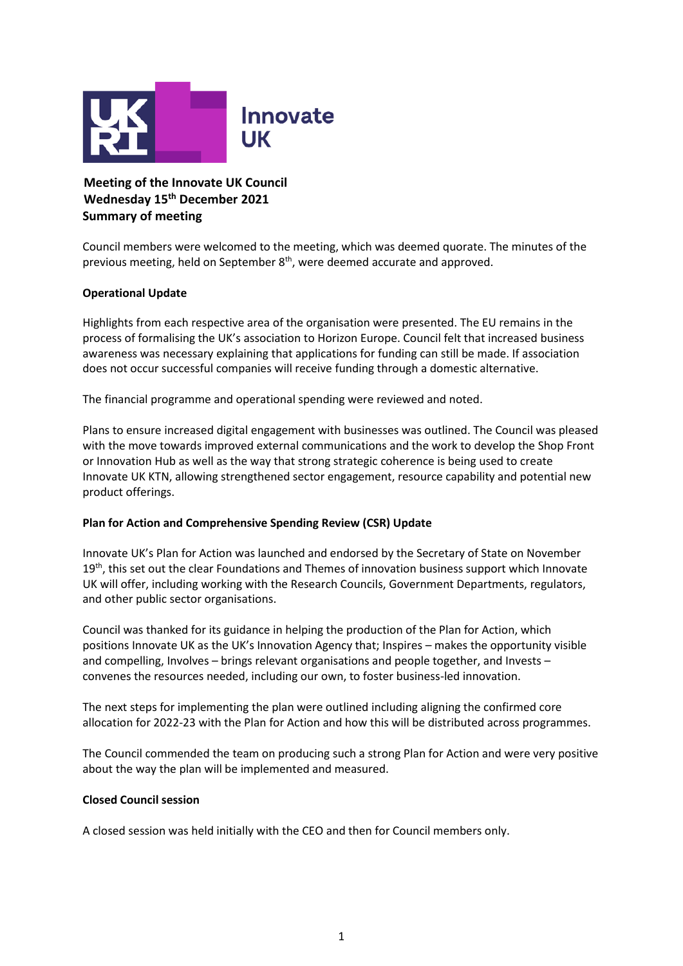

**Meeting of the Innovate UK Council Wednesday 15 th December 2021 Summary of meeting** 

Council members were welcomed to the meeting, which was deemed quorate. The minutes of the previous meeting, held on September 8<sup>th</sup>, were deemed accurate and approved.

## **Operational Update**

Highlights from each respective area of the organisation were presented. The EU remains in the process of formalising the UK's association to Horizon Europe. Council felt that increased business awareness was necessary explaining that applications for funding can still be made. If association does not occur successful companies will receive funding through a domestic alternative.

The financial programme and operational spending were reviewed and noted.

Plans to ensure increased digital engagement with businesses was outlined. The Council was pleased with the move towards improved external communications and the work to develop the Shop Front or Innovation Hub as well as the way that strong strategic coherence is being used to create Innovate UK KTN, allowing strengthened sector engagement, resource capability and potential new product offerings.

## **Plan for Action and Comprehensive Spending Review (CSR) Update**

Innovate UK's Plan for Action was launched and endorsed by the Secretary of State on November  $19<sup>th</sup>$ , this set out the clear Foundations and Themes of innovation business support which Innovate UK will offer, including working with the Research Councils, Government Departments, regulators, and other public sector organisations.

Council was thanked for its guidance in helping the production of the Plan for Action, which positions Innovate UK as the UK's Innovation Agency that; Inspires – makes the opportunity visible and compelling, Involves – brings relevant organisations and people together, and Invests – convenes the resources needed, including our own, to foster business-led innovation.

The next steps for implementing the plan were outlined including aligning the confirmed core allocation for 2022-23 with the Plan for Action and how this will be distributed across programmes.

The Council commended the team on producing such a strong Plan for Action and were very positive about the way the plan will be implemented and measured.

## **Closed Council session**

A closed session was held initially with the CEO and then for Council members only.